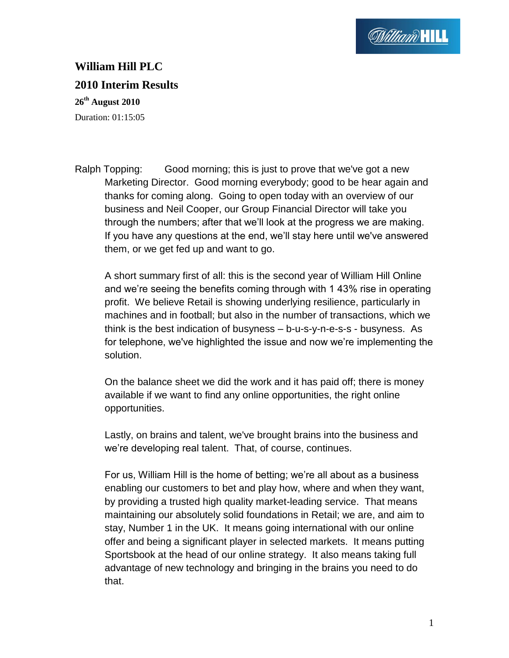

## **William Hill PLC 2010 Interim Results**

**26th August 2010** Duration: 01:15:05

Ralph Topping: Good morning; this is just to prove that we've got a new Marketing Director. Good morning everybody; good to be hear again and thanks for coming along. Going to open today with an overview of our business and Neil Cooper, our Group Financial Director will take you through the numbers; after that we"ll look at the progress we are making. If you have any questions at the end, we"ll stay here until we've answered them, or we get fed up and want to go.

A short summary first of all: this is the second year of William Hill Online and we"re seeing the benefits coming through with 1 43% rise in operating profit. We believe Retail is showing underlying resilience, particularly in machines and in football; but also in the number of transactions, which we think is the best indication of busyness – b-u-s-y-n-e-s-s - busyness. As for telephone, we've highlighted the issue and now we"re implementing the solution.

On the balance sheet we did the work and it has paid off; there is money available if we want to find any online opportunities, the right online opportunities.

Lastly, on brains and talent, we've brought brains into the business and we"re developing real talent. That, of course, continues.

For us, William Hill is the home of betting; we"re all about as a business enabling our customers to bet and play how, where and when they want, by providing a trusted high quality market-leading service. That means maintaining our absolutely solid foundations in Retail; we are, and aim to stay, Number 1 in the UK. It means going international with our online offer and being a significant player in selected markets. It means putting Sportsbook at the head of our online strategy. It also means taking full advantage of new technology and bringing in the brains you need to do that.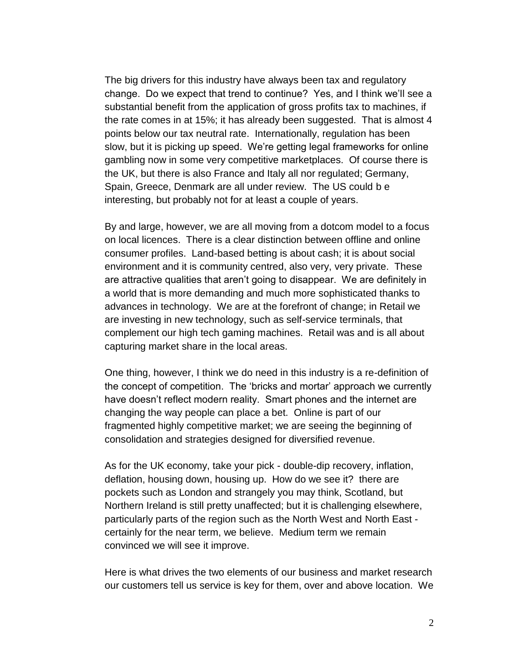The big drivers for this industry have always been tax and regulatory change. Do we expect that trend to continue? Yes, and I think we"ll see a substantial benefit from the application of gross profits tax to machines, if the rate comes in at 15%; it has already been suggested. That is almost 4 points below our tax neutral rate. Internationally, regulation has been slow, but it is picking up speed. We"re getting legal frameworks for online gambling now in some very competitive marketplaces. Of course there is the UK, but there is also France and Italy all nor regulated; Germany, Spain, Greece, Denmark are all under review. The US could b e interesting, but probably not for at least a couple of years.

By and large, however, we are all moving from a dotcom model to a focus on local licences. There is a clear distinction between offline and online consumer profiles. Land-based betting is about cash; it is about social environment and it is community centred, also very, very private. These are attractive qualities that aren"t going to disappear. We are definitely in a world that is more demanding and much more sophisticated thanks to advances in technology. We are at the forefront of change; in Retail we are investing in new technology, such as self-service terminals, that complement our high tech gaming machines. Retail was and is all about capturing market share in the local areas.

One thing, however, I think we do need in this industry is a re-definition of the concept of competition. The "bricks and mortar" approach we currently have doesn"t reflect modern reality. Smart phones and the internet are changing the way people can place a bet. Online is part of our fragmented highly competitive market; we are seeing the beginning of consolidation and strategies designed for diversified revenue.

As for the UK economy, take your pick - double-dip recovery, inflation, deflation, housing down, housing up. How do we see it? there are pockets such as London and strangely you may think, Scotland, but Northern Ireland is still pretty unaffected; but it is challenging elsewhere, particularly parts of the region such as the North West and North East certainly for the near term, we believe. Medium term we remain convinced we will see it improve.

Here is what drives the two elements of our business and market research our customers tell us service is key for them, over and above location. We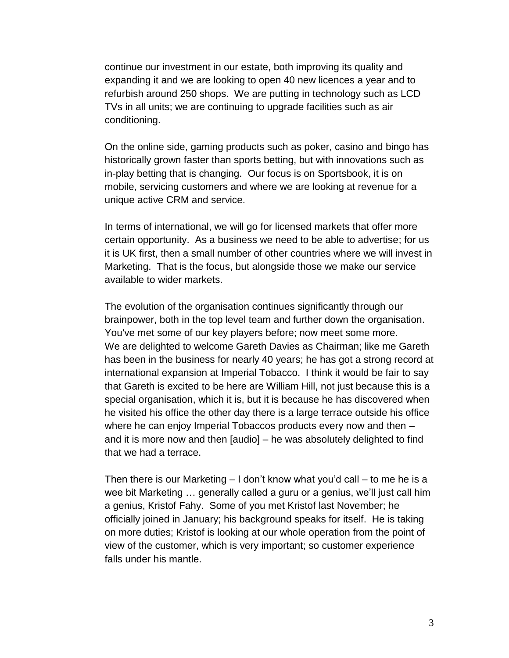continue our investment in our estate, both improving its quality and expanding it and we are looking to open 40 new licences a year and to refurbish around 250 shops. We are putting in technology such as LCD TVs in all units; we are continuing to upgrade facilities such as air conditioning.

On the online side, gaming products such as poker, casino and bingo has historically grown faster than sports betting, but with innovations such as in-play betting that is changing. Our focus is on Sportsbook, it is on mobile, servicing customers and where we are looking at revenue for a unique active CRM and service.

In terms of international, we will go for licensed markets that offer more certain opportunity. As a business we need to be able to advertise; for us it is UK first, then a small number of other countries where we will invest in Marketing. That is the focus, but alongside those we make our service available to wider markets.

The evolution of the organisation continues significantly through our brainpower, both in the top level team and further down the organisation. You've met some of our key players before; now meet some more. We are delighted to welcome Gareth Davies as Chairman; like me Gareth has been in the business for nearly 40 years; he has got a strong record at international expansion at Imperial Tobacco. I think it would be fair to say that Gareth is excited to be here are William Hill, not just because this is a special organisation, which it is, but it is because he has discovered when he visited his office the other day there is a large terrace outside his office where he can enjoy Imperial Tobaccos products every now and then – and it is more now and then [audio] – he was absolutely delighted to find that we had a terrace.

Then there is our Marketing – I don"t know what you"d call – to me he is a wee bit Marketing … generally called a guru or a genius, we"ll just call him a genius, Kristof Fahy. Some of you met Kristof last November; he officially joined in January; his background speaks for itself. He is taking on more duties; Kristof is looking at our whole operation from the point of view of the customer, which is very important; so customer experience falls under his mantle.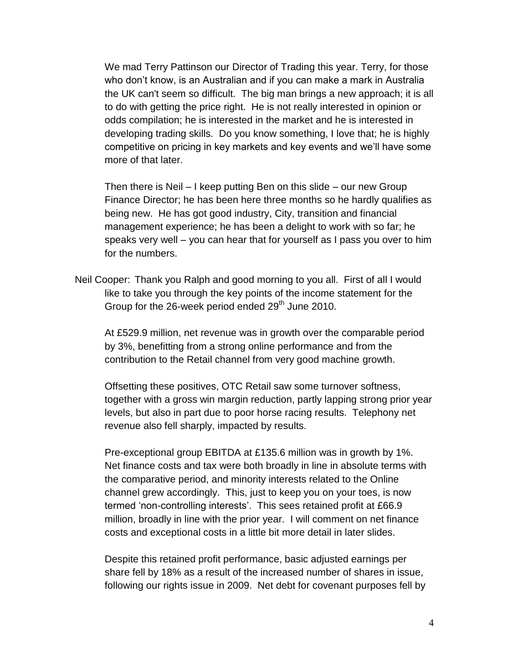We mad Terry Pattinson our Director of Trading this year. Terry, for those who don"t know, is an Australian and if you can make a mark in Australia the UK can't seem so difficult. The big man brings a new approach; it is all to do with getting the price right. He is not really interested in opinion or odds compilation; he is interested in the market and he is interested in developing trading skills. Do you know something, I love that; he is highly competitive on pricing in key markets and key events and we"ll have some more of that later.

Then there is Neil – I keep putting Ben on this slide – our new Group Finance Director; he has been here three months so he hardly qualifies as being new. He has got good industry, City, transition and financial management experience; he has been a delight to work with so far; he speaks very well – you can hear that for yourself as I pass you over to him for the numbers.

Neil Cooper: Thank you Ralph and good morning to you all. First of all I would like to take you through the key points of the income statement for the Group for the 26-week period ended 29<sup>th</sup> June 2010.

At £529.9 million, net revenue was in growth over the comparable period by 3%, benefitting from a strong online performance and from the contribution to the Retail channel from very good machine growth.

Offsetting these positives, OTC Retail saw some turnover softness, together with a gross win margin reduction, partly lapping strong prior year levels, but also in part due to poor horse racing results. Telephony net revenue also fell sharply, impacted by results.

Pre-exceptional group EBITDA at £135.6 million was in growth by 1%. Net finance costs and tax were both broadly in line in absolute terms with the comparative period, and minority interests related to the Online channel grew accordingly. This, just to keep you on your toes, is now termed 'non-controlling interests'. This sees retained profit at £66.9 million, broadly in line with the prior year. I will comment on net finance costs and exceptional costs in a little bit more detail in later slides.

Despite this retained profit performance, basic adjusted earnings per share fell by 18% as a result of the increased number of shares in issue, following our rights issue in 2009. Net debt for covenant purposes fell by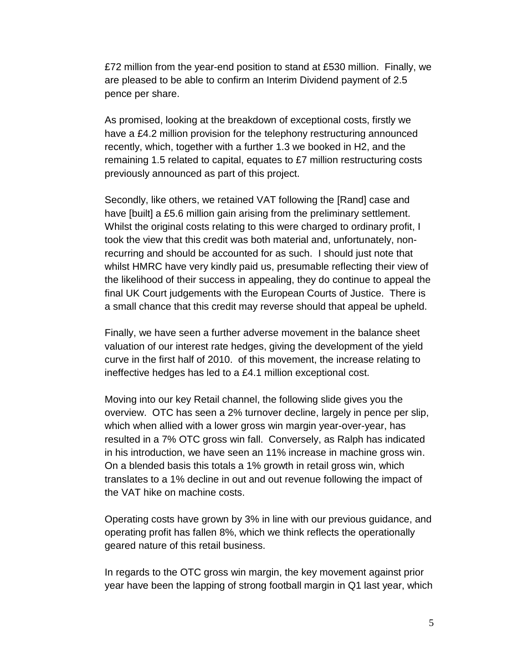£72 million from the year-end position to stand at £530 million. Finally, we are pleased to be able to confirm an Interim Dividend payment of 2.5 pence per share.

As promised, looking at the breakdown of exceptional costs, firstly we have a £4.2 million provision for the telephony restructuring announced recently, which, together with a further 1.3 we booked in H2, and the remaining 1.5 related to capital, equates to £7 million restructuring costs previously announced as part of this project.

Secondly, like others, we retained VAT following the [Rand] case and have [built] a £5.6 million gain arising from the preliminary settlement. Whilst the original costs relating to this were charged to ordinary profit, I took the view that this credit was both material and, unfortunately, nonrecurring and should be accounted for as such. I should just note that whilst HMRC have very kindly paid us, presumable reflecting their view of the likelihood of their success in appealing, they do continue to appeal the final UK Court judgements with the European Courts of Justice. There is a small chance that this credit may reverse should that appeal be upheld.

Finally, we have seen a further adverse movement in the balance sheet valuation of our interest rate hedges, giving the development of the yield curve in the first half of 2010. of this movement, the increase relating to ineffective hedges has led to a £4.1 million exceptional cost.

Moving into our key Retail channel, the following slide gives you the overview. OTC has seen a 2% turnover decline, largely in pence per slip, which when allied with a lower gross win margin year-over-year, has resulted in a 7% OTC gross win fall. Conversely, as Ralph has indicated in his introduction, we have seen an 11% increase in machine gross win. On a blended basis this totals a 1% growth in retail gross win, which translates to a 1% decline in out and out revenue following the impact of the VAT hike on machine costs.

Operating costs have grown by 3% in line with our previous guidance, and operating profit has fallen 8%, which we think reflects the operationally geared nature of this retail business.

In regards to the OTC gross win margin, the key movement against prior year have been the lapping of strong football margin in Q1 last year, which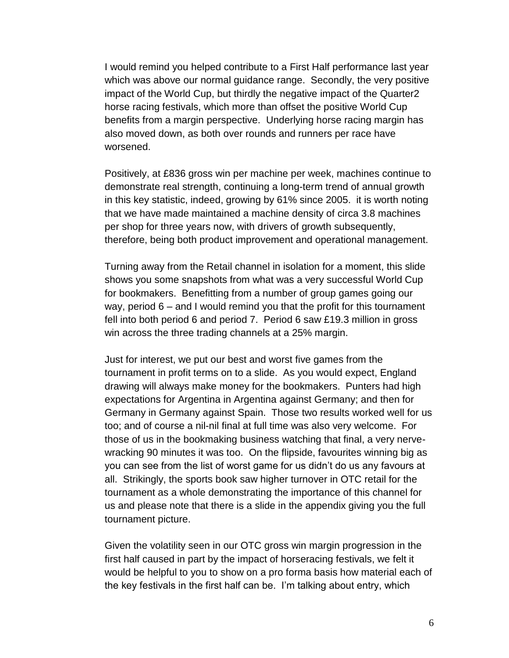I would remind you helped contribute to a First Half performance last year which was above our normal guidance range. Secondly, the very positive impact of the World Cup, but thirdly the negative impact of the Quarter2 horse racing festivals, which more than offset the positive World Cup benefits from a margin perspective. Underlying horse racing margin has also moved down, as both over rounds and runners per race have worsened.

Positively, at £836 gross win per machine per week, machines continue to demonstrate real strength, continuing a long-term trend of annual growth in this key statistic, indeed, growing by 61% since 2005. it is worth noting that we have made maintained a machine density of circa 3.8 machines per shop for three years now, with drivers of growth subsequently, therefore, being both product improvement and operational management.

Turning away from the Retail channel in isolation for a moment, this slide shows you some snapshots from what was a very successful World Cup for bookmakers. Benefitting from a number of group games going our way, period 6 – and I would remind you that the profit for this tournament fell into both period 6 and period 7. Period 6 saw £19.3 million in gross win across the three trading channels at a 25% margin.

Just for interest, we put our best and worst five games from the tournament in profit terms on to a slide. As you would expect, England drawing will always make money for the bookmakers. Punters had high expectations for Argentina in Argentina against Germany; and then for Germany in Germany against Spain. Those two results worked well for us too; and of course a nil-nil final at full time was also very welcome. For those of us in the bookmaking business watching that final, a very nervewracking 90 minutes it was too. On the flipside, favourites winning big as you can see from the list of worst game for us didn"t do us any favours at all. Strikingly, the sports book saw higher turnover in OTC retail for the tournament as a whole demonstrating the importance of this channel for us and please note that there is a slide in the appendix giving you the full tournament picture.

Given the volatility seen in our OTC gross win margin progression in the first half caused in part by the impact of horseracing festivals, we felt it would be helpful to you to show on a pro forma basis how material each of the key festivals in the first half can be. I"m talking about entry, which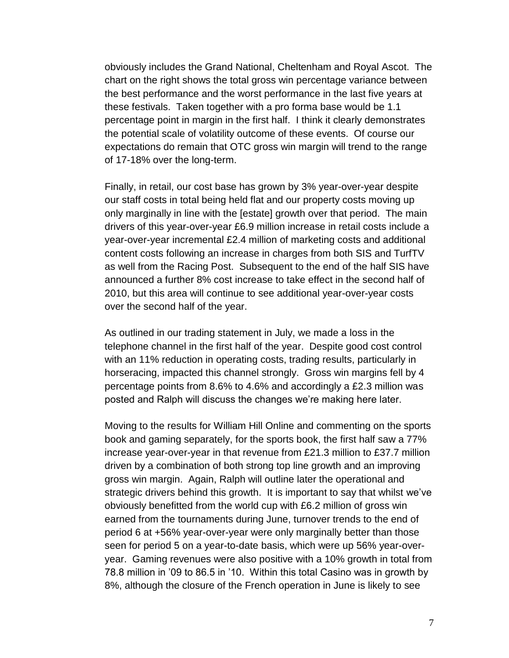obviously includes the Grand National, Cheltenham and Royal Ascot. The chart on the right shows the total gross win percentage variance between the best performance and the worst performance in the last five years at these festivals. Taken together with a pro forma base would be 1.1 percentage point in margin in the first half. I think it clearly demonstrates the potential scale of volatility outcome of these events. Of course our expectations do remain that OTC gross win margin will trend to the range of 17-18% over the long-term.

Finally, in retail, our cost base has grown by 3% year-over-year despite our staff costs in total being held flat and our property costs moving up only marginally in line with the [estate] growth over that period. The main drivers of this year-over-year £6.9 million increase in retail costs include a year-over-year incremental £2.4 million of marketing costs and additional content costs following an increase in charges from both SIS and TurfTV as well from the Racing Post. Subsequent to the end of the half SIS have announced a further 8% cost increase to take effect in the second half of 2010, but this area will continue to see additional year-over-year costs over the second half of the year.

As outlined in our trading statement in July, we made a loss in the telephone channel in the first half of the year. Despite good cost control with an 11% reduction in operating costs, trading results, particularly in horseracing, impacted this channel strongly. Gross win margins fell by 4 percentage points from 8.6% to 4.6% and accordingly a £2.3 million was posted and Ralph will discuss the changes we"re making here later.

Moving to the results for William Hill Online and commenting on the sports book and gaming separately, for the sports book, the first half saw a 77% increase year-over-year in that revenue from £21.3 million to £37.7 million driven by a combination of both strong top line growth and an improving gross win margin. Again, Ralph will outline later the operational and strategic drivers behind this growth. It is important to say that whilst we've obviously benefitted from the world cup with £6.2 million of gross win earned from the tournaments during June, turnover trends to the end of period 6 at +56% year-over-year were only marginally better than those seen for period 5 on a year-to-date basis, which were up 56% year-overyear. Gaming revenues were also positive with a 10% growth in total from 78.8 million in "09 to 86.5 in "10. Within this total Casino was in growth by 8%, although the closure of the French operation in June is likely to see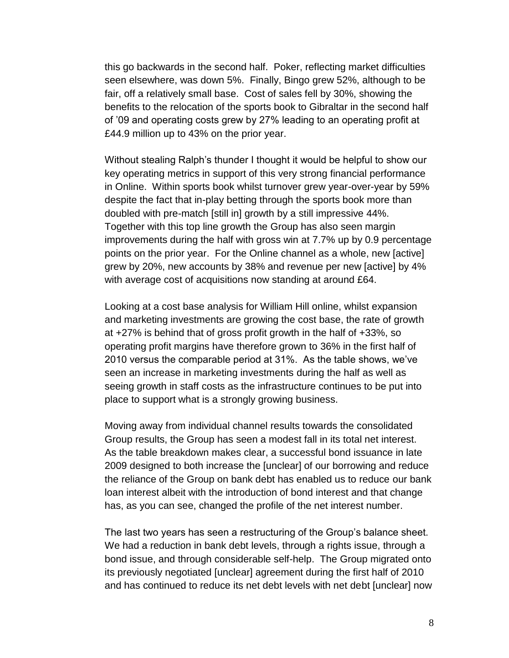this go backwards in the second half. Poker, reflecting market difficulties seen elsewhere, was down 5%. Finally, Bingo grew 52%, although to be fair, off a relatively small base. Cost of sales fell by 30%, showing the benefits to the relocation of the sports book to Gibraltar in the second half of "09 and operating costs grew by 27% leading to an operating profit at £44.9 million up to 43% on the prior year.

Without stealing Ralph's thunder I thought it would be helpful to show our key operating metrics in support of this very strong financial performance in Online. Within sports book whilst turnover grew year-over-year by 59% despite the fact that in-play betting through the sports book more than doubled with pre-match [still in] growth by a still impressive 44%. Together with this top line growth the Group has also seen margin improvements during the half with gross win at 7.7% up by 0.9 percentage points on the prior year. For the Online channel as a whole, new [active] grew by 20%, new accounts by 38% and revenue per new [active] by 4% with average cost of acquisitions now standing at around £64.

Looking at a cost base analysis for William Hill online, whilst expansion and marketing investments are growing the cost base, the rate of growth at +27% is behind that of gross profit growth in the half of +33%, so operating profit margins have therefore grown to 36% in the first half of 2010 versus the comparable period at 31%. As the table shows, we"ve seen an increase in marketing investments during the half as well as seeing growth in staff costs as the infrastructure continues to be put into place to support what is a strongly growing business.

Moving away from individual channel results towards the consolidated Group results, the Group has seen a modest fall in its total net interest. As the table breakdown makes clear, a successful bond issuance in late 2009 designed to both increase the [unclear] of our borrowing and reduce the reliance of the Group on bank debt has enabled us to reduce our bank loan interest albeit with the introduction of bond interest and that change has, as you can see, changed the profile of the net interest number.

The last two years has seen a restructuring of the Group"s balance sheet. We had a reduction in bank debt levels, through a rights issue, through a bond issue, and through considerable self-help. The Group migrated onto its previously negotiated [unclear] agreement during the first half of 2010 and has continued to reduce its net debt levels with net debt [unclear] now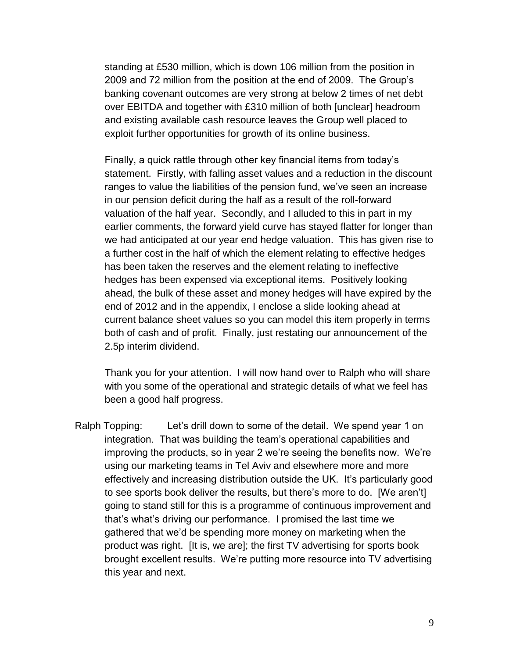standing at £530 million, which is down 106 million from the position in 2009 and 72 million from the position at the end of 2009. The Group"s banking covenant outcomes are very strong at below 2 times of net debt over EBITDA and together with £310 million of both [unclear] headroom and existing available cash resource leaves the Group well placed to exploit further opportunities for growth of its online business.

Finally, a quick rattle through other key financial items from today"s statement. Firstly, with falling asset values and a reduction in the discount ranges to value the liabilities of the pension fund, we"ve seen an increase in our pension deficit during the half as a result of the roll-forward valuation of the half year. Secondly, and I alluded to this in part in my earlier comments, the forward yield curve has stayed flatter for longer than we had anticipated at our year end hedge valuation. This has given rise to a further cost in the half of which the element relating to effective hedges has been taken the reserves and the element relating to ineffective hedges has been expensed via exceptional items. Positively looking ahead, the bulk of these asset and money hedges will have expired by the end of 2012 and in the appendix, I enclose a slide looking ahead at current balance sheet values so you can model this item properly in terms both of cash and of profit. Finally, just restating our announcement of the 2.5p interim dividend.

Thank you for your attention. I will now hand over to Ralph who will share with you some of the operational and strategic details of what we feel has been a good half progress.

Ralph Topping: Let"s drill down to some of the detail. We spend year 1 on integration. That was building the team"s operational capabilities and improving the products, so in year 2 we"re seeing the benefits now. We"re using our marketing teams in Tel Aviv and elsewhere more and more effectively and increasing distribution outside the UK. It"s particularly good to see sports book deliver the results, but there"s more to do. [We aren"t] going to stand still for this is a programme of continuous improvement and that"s what"s driving our performance. I promised the last time we gathered that we"d be spending more money on marketing when the product was right. [It is, we are]; the first TV advertising for sports book brought excellent results. We"re putting more resource into TV advertising this year and next.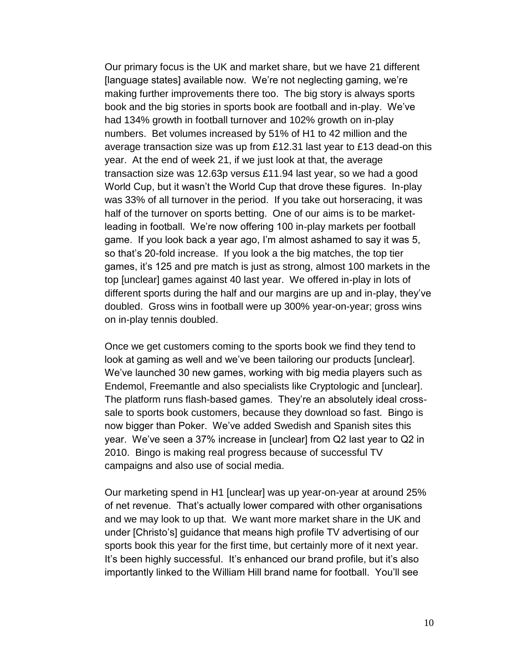Our primary focus is the UK and market share, but we have 21 different [language states] available now. We're not neglecting gaming, we're making further improvements there too. The big story is always sports book and the big stories in sports book are football and in-play. We"ve had 134% growth in football turnover and 102% growth on in-play numbers. Bet volumes increased by 51% of H1 to 42 million and the average transaction size was up from £12.31 last year to £13 dead-on this year. At the end of week 21, if we just look at that, the average transaction size was 12.63p versus £11.94 last year, so we had a good World Cup, but it wasn"t the World Cup that drove these figures. In-play was 33% of all turnover in the period. If you take out horseracing, it was half of the turnover on sports betting. One of our aims is to be marketleading in football. We"re now offering 100 in-play markets per football game. If you look back a year ago, I"m almost ashamed to say it was 5, so that"s 20-fold increase. If you look a the big matches, the top tier games, it"s 125 and pre match is just as strong, almost 100 markets in the top [unclear] games against 40 last year. We offered in-play in lots of different sports during the half and our margins are up and in-play, they"ve doubled. Gross wins in football were up 300% year-on-year; gross wins on in-play tennis doubled.

Once we get customers coming to the sports book we find they tend to look at gaming as well and we've been tailoring our products [unclear]. We"ve launched 30 new games, working with big media players such as Endemol, Freemantle and also specialists like Cryptologic and [unclear]. The platform runs flash-based games. They"re an absolutely ideal crosssale to sports book customers, because they download so fast. Bingo is now bigger than Poker. We've added Swedish and Spanish sites this year. We"ve seen a 37% increase in [unclear] from Q2 last year to Q2 in 2010. Bingo is making real progress because of successful TV campaigns and also use of social media.

Our marketing spend in H1 [unclear] was up year-on-year at around 25% of net revenue. That"s actually lower compared with other organisations and we may look to up that. We want more market share in the UK and under [Christo"s] guidance that means high profile TV advertising of our sports book this year for the first time, but certainly more of it next year. It"s been highly successful. It"s enhanced our brand profile, but it"s also importantly linked to the William Hill brand name for football. You"ll see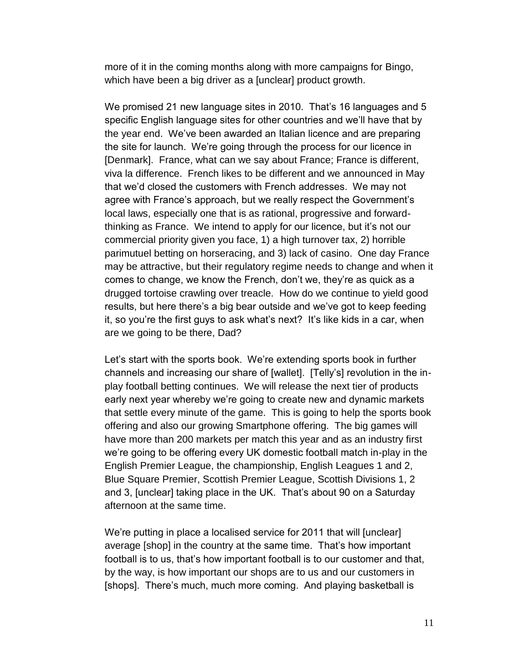more of it in the coming months along with more campaigns for Bingo, which have been a big driver as a [unclear] product growth.

We promised 21 new language sites in 2010. That's 16 languages and 5 specific English language sites for other countries and we"ll have that by the year end. We"ve been awarded an Italian licence and are preparing the site for launch. We"re going through the process for our licence in [Denmark]. France, what can we say about France; France is different, viva la difference. French likes to be different and we announced in May that we"d closed the customers with French addresses. We may not agree with France's approach, but we really respect the Government's local laws, especially one that is as rational, progressive and forwardthinking as France. We intend to apply for our licence, but it"s not our commercial priority given you face, 1) a high turnover tax, 2) horrible parimutuel betting on horseracing, and 3) lack of casino. One day France may be attractive, but their regulatory regime needs to change and when it comes to change, we know the French, don"t we, they"re as quick as a drugged tortoise crawling over treacle. How do we continue to yield good results, but here there's a big bear outside and we've got to keep feeding it, so you"re the first guys to ask what"s next? It"s like kids in a car, when are we going to be there, Dad?

Let's start with the sports book. We're extending sports book in further channels and increasing our share of [wallet]. [Telly"s] revolution in the inplay football betting continues. We will release the next tier of products early next year whereby we"re going to create new and dynamic markets that settle every minute of the game. This is going to help the sports book offering and also our growing Smartphone offering. The big games will have more than 200 markets per match this year and as an industry first we"re going to be offering every UK domestic football match in-play in the English Premier League, the championship, English Leagues 1 and 2, Blue Square Premier, Scottish Premier League, Scottish Divisions 1, 2 and 3, [unclear] taking place in the UK. That"s about 90 on a Saturday afternoon at the same time.

We're putting in place a localised service for 2011 that will [unclear] average [shop] in the country at the same time. That"s how important football is to us, that"s how important football is to our customer and that, by the way, is how important our shops are to us and our customers in [shops]. There's much, much more coming. And playing basketball is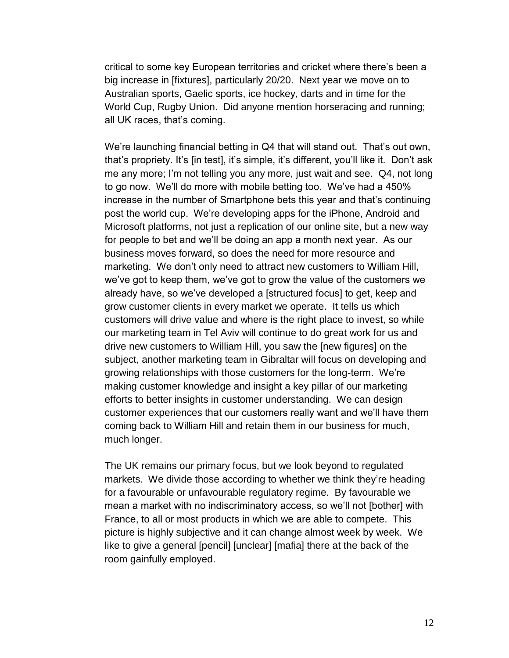critical to some key European territories and cricket where there"s been a big increase in [fixtures], particularly 20/20. Next year we move on to Australian sports, Gaelic sports, ice hockey, darts and in time for the World Cup, Rugby Union. Did anyone mention horseracing and running; all UK races, that"s coming.

We're launching financial betting in Q4 that will stand out. That's out own, that's propriety. It's [in test], it's simple, it's different, you'll like it. Don't ask me any more; I'm not telling you any more, just wait and see. Q4, not long to go now. We"ll do more with mobile betting too. We"ve had a 450% increase in the number of Smartphone bets this year and that"s continuing post the world cup. We"re developing apps for the iPhone, Android and Microsoft platforms, not just a replication of our online site, but a new way for people to bet and we"ll be doing an app a month next year. As our business moves forward, so does the need for more resource and marketing. We don"t only need to attract new customers to William Hill, we"ve got to keep them, we"ve got to grow the value of the customers we already have, so we've developed a [structured focus] to get, keep and grow customer clients in every market we operate. It tells us which customers will drive value and where is the right place to invest, so while our marketing team in Tel Aviv will continue to do great work for us and drive new customers to William Hill, you saw the [new figures] on the subject, another marketing team in Gibraltar will focus on developing and growing relationships with those customers for the long-term. We"re making customer knowledge and insight a key pillar of our marketing efforts to better insights in customer understanding. We can design customer experiences that our customers really want and we"ll have them coming back to William Hill and retain them in our business for much, much longer.

The UK remains our primary focus, but we look beyond to regulated markets. We divide those according to whether we think they"re heading for a favourable or unfavourable regulatory regime. By favourable we mean a market with no indiscriminatory access, so we"ll not [bother] with France, to all or most products in which we are able to compete. This picture is highly subjective and it can change almost week by week. We like to give a general [pencil] [unclear] [mafia] there at the back of the room gainfully employed.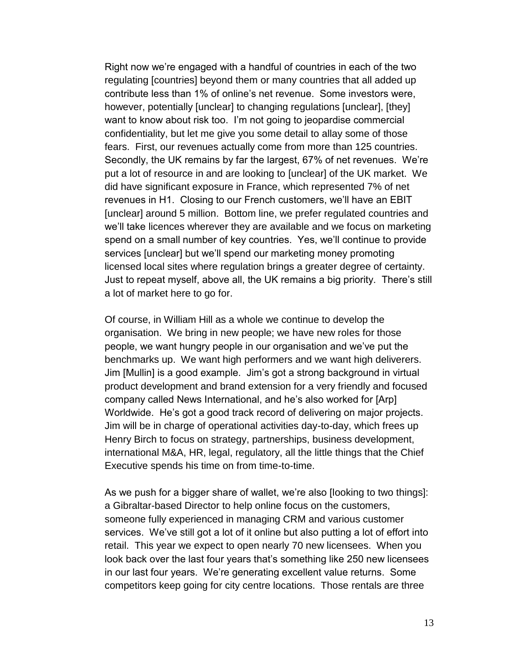Right now we"re engaged with a handful of countries in each of the two regulating [countries] beyond them or many countries that all added up contribute less than 1% of online"s net revenue. Some investors were, however, potentially [unclear] to changing regulations [unclear], [they] want to know about risk too. I"m not going to jeopardise commercial confidentiality, but let me give you some detail to allay some of those fears. First, our revenues actually come from more than 125 countries. Secondly, the UK remains by far the largest, 67% of net revenues. We"re put a lot of resource in and are looking to [unclear] of the UK market. We did have significant exposure in France, which represented 7% of net revenues in H1. Closing to our French customers, we"ll have an EBIT [unclear] around 5 million. Bottom line, we prefer regulated countries and we"ll take licences wherever they are available and we focus on marketing spend on a small number of key countries. Yes, we"ll continue to provide services [unclear] but we"ll spend our marketing money promoting licensed local sites where regulation brings a greater degree of certainty. Just to repeat myself, above all, the UK remains a big priority. There"s still a lot of market here to go for.

Of course, in William Hill as a whole we continue to develop the organisation. We bring in new people; we have new roles for those people, we want hungry people in our organisation and we"ve put the benchmarks up. We want high performers and we want high deliverers. Jim [Mullin] is a good example. Jim"s got a strong background in virtual product development and brand extension for a very friendly and focused company called News International, and he"s also worked for [Arp] Worldwide. He"s got a good track record of delivering on major projects. Jim will be in charge of operational activities day-to-day, which frees up Henry Birch to focus on strategy, partnerships, business development, international M&A, HR, legal, regulatory, all the little things that the Chief Executive spends his time on from time-to-time.

As we push for a bigger share of wallet, we're also [looking to two things]: a Gibraltar-based Director to help online focus on the customers, someone fully experienced in managing CRM and various customer services. We've still got a lot of it online but also putting a lot of effort into retail. This year we expect to open nearly 70 new licensees. When you look back over the last four years that"s something like 250 new licensees in our last four years. We"re generating excellent value returns. Some competitors keep going for city centre locations. Those rentals are three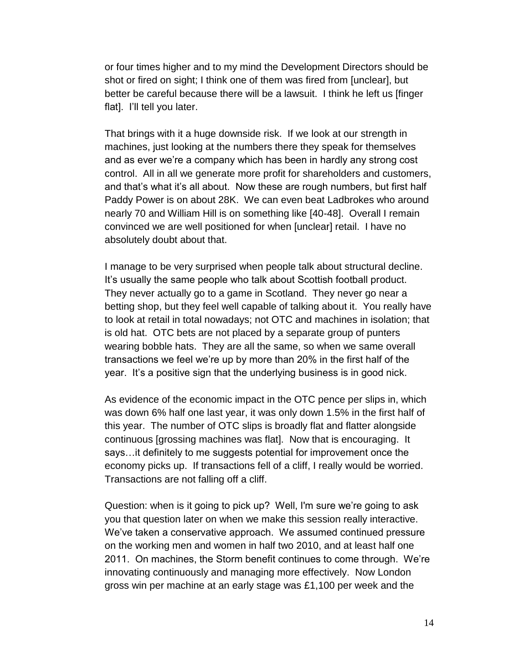or four times higher and to my mind the Development Directors should be shot or fired on sight; I think one of them was fired from [unclear], but better be careful because there will be a lawsuit. I think he left us [finger flat]. I'll tell you later.

That brings with it a huge downside risk. If we look at our strength in machines, just looking at the numbers there they speak for themselves and as ever we"re a company which has been in hardly any strong cost control. All in all we generate more profit for shareholders and customers, and that's what it's all about. Now these are rough numbers, but first half Paddy Power is on about 28K. We can even beat Ladbrokes who around nearly 70 and William Hill is on something like [40-48]. Overall I remain convinced we are well positioned for when [unclear] retail. I have no absolutely doubt about that.

I manage to be very surprised when people talk about structural decline. It"s usually the same people who talk about Scottish football product. They never actually go to a game in Scotland. They never go near a betting shop, but they feel well capable of talking about it. You really have to look at retail in total nowadays; not OTC and machines in isolation; that is old hat. OTC bets are not placed by a separate group of punters wearing bobble hats. They are all the same, so when we same overall transactions we feel we"re up by more than 20% in the first half of the year. It's a positive sign that the underlying business is in good nick.

As evidence of the economic impact in the OTC pence per slips in, which was down 6% half one last year, it was only down 1.5% in the first half of this year. The number of OTC slips is broadly flat and flatter alongside continuous [grossing machines was flat]. Now that is encouraging. It says…it definitely to me suggests potential for improvement once the economy picks up. If transactions fell of a cliff, I really would be worried. Transactions are not falling off a cliff.

Question: when is it going to pick up? Well, I'm sure we"re going to ask you that question later on when we make this session really interactive. We"ve taken a conservative approach. We assumed continued pressure on the working men and women in half two 2010, and at least half one 2011. On machines, the Storm benefit continues to come through. We"re innovating continuously and managing more effectively. Now London gross win per machine at an early stage was £1,100 per week and the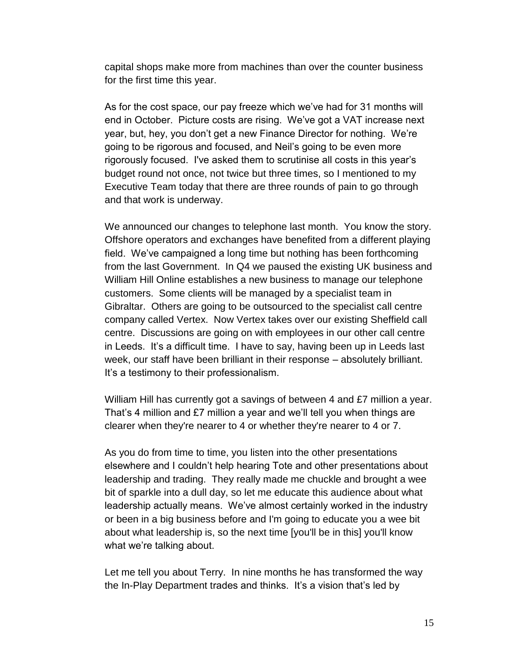capital shops make more from machines than over the counter business for the first time this year.

As for the cost space, our pay freeze which we"ve had for 31 months will end in October. Picture costs are rising. We"ve got a VAT increase next year, but, hey, you don"t get a new Finance Director for nothing. We"re going to be rigorous and focused, and Neil"s going to be even more rigorously focused. I've asked them to scrutinise all costs in this year"s budget round not once, not twice but three times, so I mentioned to my Executive Team today that there are three rounds of pain to go through and that work is underway.

We announced our changes to telephone last month. You know the story. Offshore operators and exchanges have benefited from a different playing field. We've campaigned a long time but nothing has been forthcoming from the last Government. In Q4 we paused the existing UK business and William Hill Online establishes a new business to manage our telephone customers. Some clients will be managed by a specialist team in Gibraltar. Others are going to be outsourced to the specialist call centre company called Vertex. Now Vertex takes over our existing Sheffield call centre. Discussions are going on with employees in our other call centre in Leeds. It"s a difficult time. I have to say, having been up in Leeds last week, our staff have been brilliant in their response – absolutely brilliant. It"s a testimony to their professionalism.

William Hill has currently got a savings of between 4 and £7 million a year. That"s 4 million and £7 million a year and we"ll tell you when things are clearer when they're nearer to 4 or whether they're nearer to 4 or 7.

As you do from time to time, you listen into the other presentations elsewhere and I couldn"t help hearing Tote and other presentations about leadership and trading. They really made me chuckle and brought a wee bit of sparkle into a dull day, so let me educate this audience about what leadership actually means. We've almost certainly worked in the industry or been in a big business before and I'm going to educate you a wee bit about what leadership is, so the next time [you'll be in this] you'll know what we're talking about.

Let me tell you about Terry. In nine months he has transformed the way the In-Play Department trades and thinks. It's a vision that's led by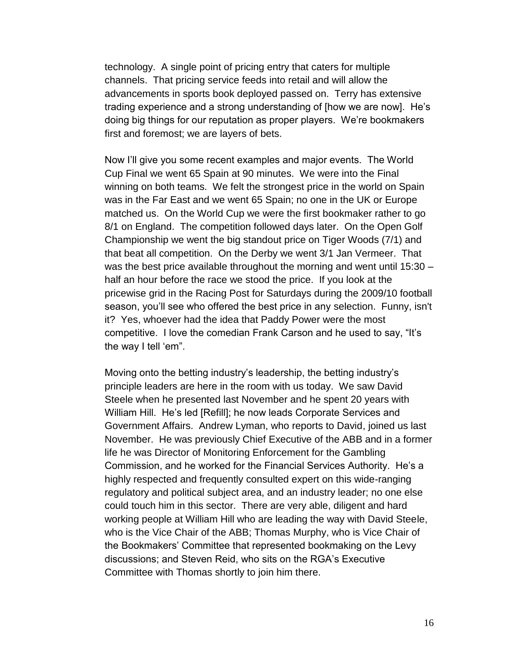technology. A single point of pricing entry that caters for multiple channels. That pricing service feeds into retail and will allow the advancements in sports book deployed passed on. Terry has extensive trading experience and a strong understanding of [how we are now]. He"s doing big things for our reputation as proper players. We"re bookmakers first and foremost; we are layers of bets.

Now I"ll give you some recent examples and major events. The World Cup Final we went 65 Spain at 90 minutes. We were into the Final winning on both teams. We felt the strongest price in the world on Spain was in the Far East and we went 65 Spain; no one in the UK or Europe matched us. On the World Cup we were the first bookmaker rather to go 8/1 on England. The competition followed days later. On the Open Golf Championship we went the big standout price on Tiger Woods (7/1) and that beat all competition. On the Derby we went 3/1 Jan Vermeer. That was the best price available throughout the morning and went until 15:30 – half an hour before the race we stood the price. If you look at the pricewise grid in the Racing Post for Saturdays during the 2009/10 football season, you"ll see who offered the best price in any selection. Funny, isn't it? Yes, whoever had the idea that Paddy Power were the most competitive. I love the comedian Frank Carson and he used to say, "It"s the way I tell 'em".

Moving onto the betting industry"s leadership, the betting industry"s principle leaders are here in the room with us today. We saw David Steele when he presented last November and he spent 20 years with William Hill. He"s led [Refill]; he now leads Corporate Services and Government Affairs. Andrew Lyman, who reports to David, joined us last November. He was previously Chief Executive of the ABB and in a former life he was Director of Monitoring Enforcement for the Gambling Commission, and he worked for the Financial Services Authority. He"s a highly respected and frequently consulted expert on this wide-ranging regulatory and political subject area, and an industry leader; no one else could touch him in this sector. There are very able, diligent and hard working people at William Hill who are leading the way with David Steele, who is the Vice Chair of the ABB; Thomas Murphy, who is Vice Chair of the Bookmakers" Committee that represented bookmaking on the Levy discussions; and Steven Reid, who sits on the RGA"s Executive Committee with Thomas shortly to join him there.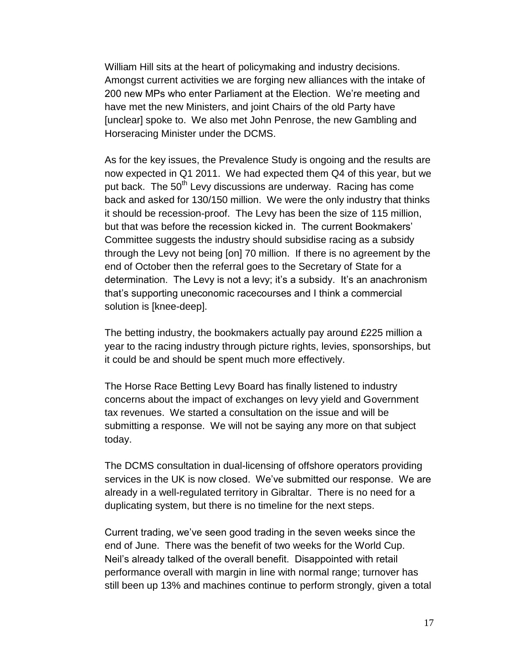William Hill sits at the heart of policymaking and industry decisions. Amongst current activities we are forging new alliances with the intake of 200 new MPs who enter Parliament at the Election. We"re meeting and have met the new Ministers, and joint Chairs of the old Party have [unclear] spoke to. We also met John Penrose, the new Gambling and Horseracing Minister under the DCMS.

As for the key issues, the Prevalence Study is ongoing and the results are now expected in Q1 2011. We had expected them Q4 of this year, but we put back. The 50<sup>th</sup> Levy discussions are underway. Racing has come back and asked for 130/150 million. We were the only industry that thinks it should be recession-proof. The Levy has been the size of 115 million, but that was before the recession kicked in. The current Bookmakers' Committee suggests the industry should subsidise racing as a subsidy through the Levy not being [on] 70 million. If there is no agreement by the end of October then the referral goes to the Secretary of State for a determination. The Levy is not a levy; it's a subsidy. It's an anachronism that"s supporting uneconomic racecourses and I think a commercial solution is [knee-deep].

The betting industry, the bookmakers actually pay around £225 million a year to the racing industry through picture rights, levies, sponsorships, but it could be and should be spent much more effectively.

The Horse Race Betting Levy Board has finally listened to industry concerns about the impact of exchanges on levy yield and Government tax revenues. We started a consultation on the issue and will be submitting a response. We will not be saying any more on that subject today.

The DCMS consultation in dual-licensing of offshore operators providing services in the UK is now closed. We've submitted our response. We are already in a well-regulated territory in Gibraltar. There is no need for a duplicating system, but there is no timeline for the next steps.

Current trading, we"ve seen good trading in the seven weeks since the end of June. There was the benefit of two weeks for the World Cup. Neil"s already talked of the overall benefit. Disappointed with retail performance overall with margin in line with normal range; turnover has still been up 13% and machines continue to perform strongly, given a total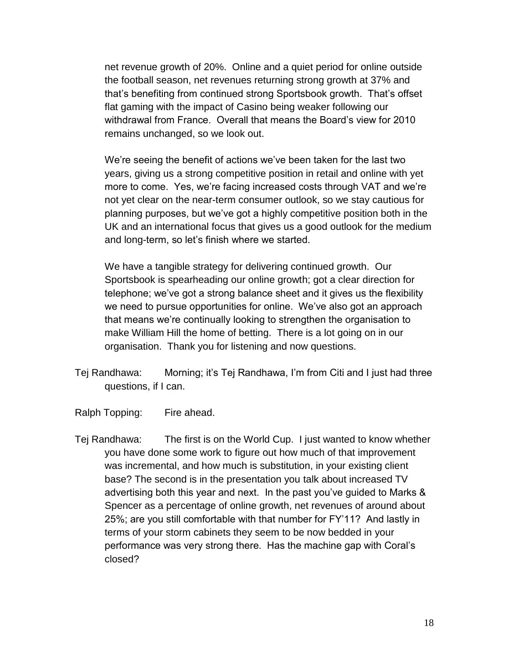net revenue growth of 20%. Online and a quiet period for online outside the football season, net revenues returning strong growth at 37% and that"s benefiting from continued strong Sportsbook growth. That"s offset flat gaming with the impact of Casino being weaker following our withdrawal from France. Overall that means the Board"s view for 2010 remains unchanged, so we look out.

We"re seeing the benefit of actions we"ve been taken for the last two years, giving us a strong competitive position in retail and online with yet more to come. Yes, we're facing increased costs through VAT and we're not yet clear on the near-term consumer outlook, so we stay cautious for planning purposes, but we"ve got a highly competitive position both in the UK and an international focus that gives us a good outlook for the medium and long-term, so let's finish where we started.

We have a tangible strategy for delivering continued growth. Our Sportsbook is spearheading our online growth; got a clear direction for telephone; we've got a strong balance sheet and it gives us the flexibility we need to pursue opportunities for online. We've also got an approach that means we"re continually looking to strengthen the organisation to make William Hill the home of betting. There is a lot going on in our organisation. Thank you for listening and now questions.

Tej Randhawa: Morning; it"s Tej Randhawa, I"m from Citi and I just had three questions, if I can.

Ralph Topping: Fire ahead.

Tej Randhawa: The first is on the World Cup. I just wanted to know whether you have done some work to figure out how much of that improvement was incremental, and how much is substitution, in your existing client base? The second is in the presentation you talk about increased TV advertising both this year and next. In the past you"ve guided to Marks & Spencer as a percentage of online growth, net revenues of around about 25%; are you still comfortable with that number for FY"11? And lastly in terms of your storm cabinets they seem to be now bedded in your performance was very strong there. Has the machine gap with Coral"s closed?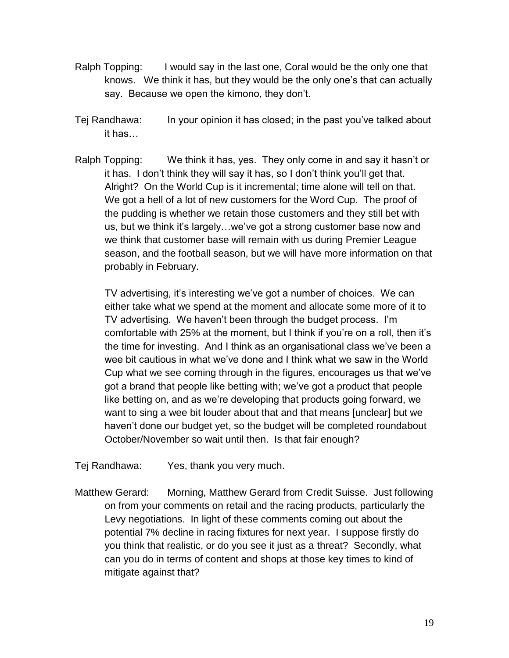- Ralph Topping: I would say in the last one, Coral would be the only one that knows. We think it has, but they would be the only one"s that can actually say. Because we open the kimono, they don"t.
- Tej Randhawa: In your opinion it has closed; in the past you"ve talked about it has…
- Ralph Topping: We think it has, yes. They only come in and say it hasn't or it has. I don"t think they will say it has, so I don"t think you"ll get that. Alright? On the World Cup is it incremental; time alone will tell on that. We got a hell of a lot of new customers for the Word Cup. The proof of the pudding is whether we retain those customers and they still bet with us, but we think it's largely...we've got a strong customer base now and we think that customer base will remain with us during Premier League season, and the football season, but we will have more information on that probably in February.

TV advertising, it's interesting we've got a number of choices. We can either take what we spend at the moment and allocate some more of it to TV advertising. We haven"t been through the budget process. I"m comfortable with 25% at the moment, but I think if you"re on a roll, then it"s the time for investing. And I think as an organisational class we"ve been a wee bit cautious in what we"ve done and I think what we saw in the World Cup what we see coming through in the figures, encourages us that we"ve got a brand that people like betting with; we"ve got a product that people like betting on, and as we"re developing that products going forward, we want to sing a wee bit louder about that and that means [unclear] but we haven"t done our budget yet, so the budget will be completed roundabout October/November so wait until then. Is that fair enough?

Tej Randhawa: Yes, thank you very much.

Matthew Gerard: Morning, Matthew Gerard from Credit Suisse. Just following on from your comments on retail and the racing products, particularly the Levy negotiations. In light of these comments coming out about the potential 7% decline in racing fixtures for next year. I suppose firstly do you think that realistic, or do you see it just as a threat? Secondly, what can you do in terms of content and shops at those key times to kind of mitigate against that?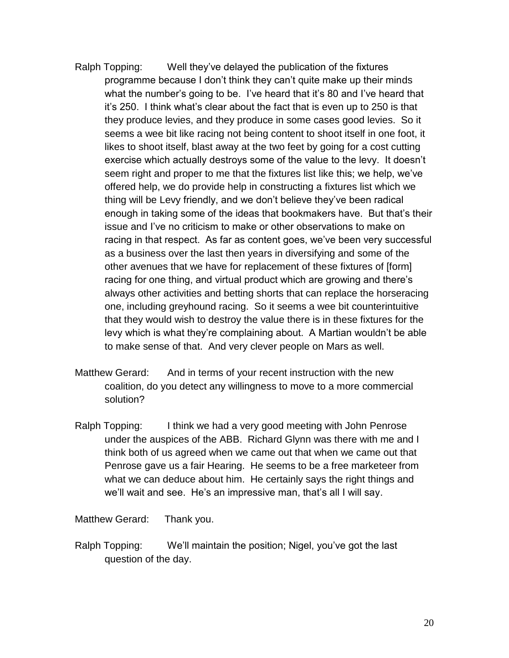- Ralph Topping: Well they"ve delayed the publication of the fixtures programme because I don"t think they can"t quite make up their minds what the number's going to be. I've heard that it's 80 and I've heard that it"s 250. I think what"s clear about the fact that is even up to 250 is that they produce levies, and they produce in some cases good levies. So it seems a wee bit like racing not being content to shoot itself in one foot, it likes to shoot itself, blast away at the two feet by going for a cost cutting exercise which actually destroys some of the value to the levy. It doesn"t seem right and proper to me that the fixtures list like this; we help, we've offered help, we do provide help in constructing a fixtures list which we thing will be Levy friendly, and we don"t believe they"ve been radical enough in taking some of the ideas that bookmakers have. But that"s their issue and I"ve no criticism to make or other observations to make on racing in that respect. As far as content goes, we"ve been very successful as a business over the last then years in diversifying and some of the other avenues that we have for replacement of these fixtures of [form] racing for one thing, and virtual product which are growing and there"s always other activities and betting shorts that can replace the horseracing one, including greyhound racing. So it seems a wee bit counterintuitive that they would wish to destroy the value there is in these fixtures for the levy which is what they"re complaining about. A Martian wouldn"t be able to make sense of that. And very clever people on Mars as well.
- Matthew Gerard: And in terms of your recent instruction with the new coalition, do you detect any willingness to move to a more commercial solution?
- Ralph Topping: I think we had a very good meeting with John Penrose under the auspices of the ABB. Richard Glynn was there with me and I think both of us agreed when we came out that when we came out that Penrose gave us a fair Hearing. He seems to be a free marketeer from what we can deduce about him. He certainly says the right things and we'll wait and see. He's an impressive man, that's all I will say.

Matthew Gerard: Thank you.

Ralph Topping: We'll maintain the position; Nigel, you've got the last question of the day.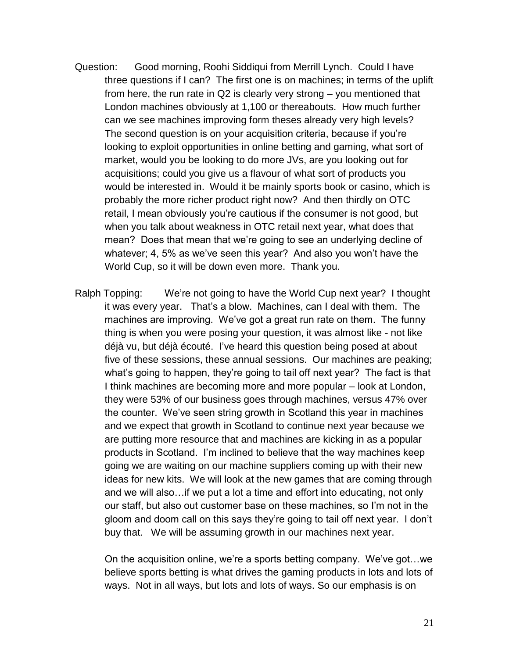- Question: Good morning, Roohi Siddiqui from Merrill Lynch. Could I have three questions if I can? The first one is on machines; in terms of the uplift from here, the run rate in Q2 is clearly very strong – you mentioned that London machines obviously at 1,100 or thereabouts. How much further can we see machines improving form theses already very high levels? The second question is on your acquisition criteria, because if you"re looking to exploit opportunities in online betting and gaming, what sort of market, would you be looking to do more JVs, are you looking out for acquisitions; could you give us a flavour of what sort of products you would be interested in. Would it be mainly sports book or casino, which is probably the more richer product right now? And then thirdly on OTC retail, I mean obviously you"re cautious if the consumer is not good, but when you talk about weakness in OTC retail next year, what does that mean? Does that mean that we"re going to see an underlying decline of whatever; 4, 5% as we've seen this year? And also you won't have the World Cup, so it will be down even more. Thank you.
- Ralph Topping: We"re not going to have the World Cup next year? I thought it was every year. That"s a blow. Machines, can I deal with them. The machines are improving. We've got a great run rate on them. The funny thing is when you were posing your question, it was almost like - not like déjà vu, but déjà écouté. I"ve heard this question being posed at about five of these sessions, these annual sessions. Our machines are peaking; what"s going to happen, they"re going to tail off next year? The fact is that I think machines are becoming more and more popular – look at London, they were 53% of our business goes through machines, versus 47% over the counter. We"ve seen string growth in Scotland this year in machines and we expect that growth in Scotland to continue next year because we are putting more resource that and machines are kicking in as a popular products in Scotland. I"m inclined to believe that the way machines keep going we are waiting on our machine suppliers coming up with their new ideas for new kits. We will look at the new games that are coming through and we will also…if we put a lot a time and effort into educating, not only our staff, but also out customer base on these machines, so I"m not in the gloom and doom call on this says they"re going to tail off next year. I don"t buy that. We will be assuming growth in our machines next year.

On the acquisition online, we"re a sports betting company. We"ve got…we believe sports betting is what drives the gaming products in lots and lots of ways. Not in all ways, but lots and lots of ways. So our emphasis is on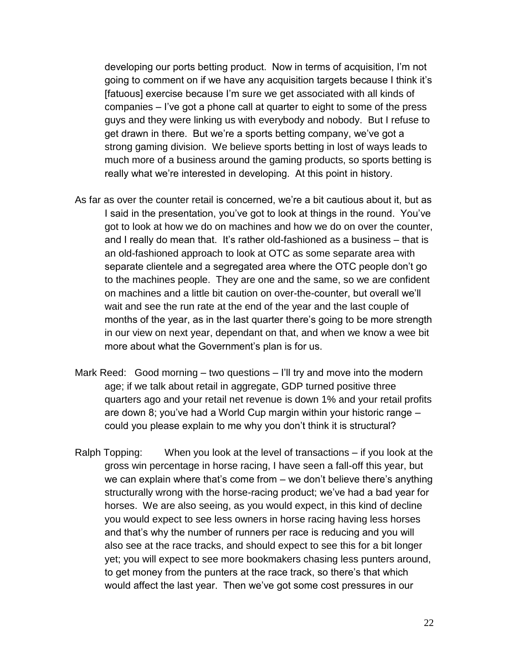developing our ports betting product. Now in terms of acquisition, I"m not going to comment on if we have any acquisition targets because I think it"s [fatuous] exercise because I"m sure we get associated with all kinds of companies – I"ve got a phone call at quarter to eight to some of the press guys and they were linking us with everybody and nobody. But I refuse to get drawn in there. But we're a sports betting company, we've got a strong gaming division. We believe sports betting in lost of ways leads to much more of a business around the gaming products, so sports betting is really what we're interested in developing. At this point in history.

- As far as over the counter retail is concerned, we"re a bit cautious about it, but as I said in the presentation, you"ve got to look at things in the round. You"ve got to look at how we do on machines and how we do on over the counter, and I really do mean that. It"s rather old-fashioned as a business – that is an old-fashioned approach to look at OTC as some separate area with separate clientele and a segregated area where the OTC people don"t go to the machines people. They are one and the same, so we are confident on machines and a little bit caution on over-the-counter, but overall we"ll wait and see the run rate at the end of the year and the last couple of months of the year, as in the last quarter there"s going to be more strength in our view on next year, dependant on that, and when we know a wee bit more about what the Government's plan is for us.
- Mark Reed: Good morning two questions I"ll try and move into the modern age; if we talk about retail in aggregate, GDP turned positive three quarters ago and your retail net revenue is down 1% and your retail profits are down 8; you"ve had a World Cup margin within your historic range – could you please explain to me why you don"t think it is structural?
- Ralph Topping: When you look at the level of transactions if you look at the gross win percentage in horse racing, I have seen a fall-off this year, but we can explain where that's come from – we don't believe there's anything structurally wrong with the horse-racing product; we"ve had a bad year for horses. We are also seeing, as you would expect, in this kind of decline you would expect to see less owners in horse racing having less horses and that's why the number of runners per race is reducing and you will also see at the race tracks, and should expect to see this for a bit longer yet; you will expect to see more bookmakers chasing less punters around, to get money from the punters at the race track, so there"s that which would affect the last year. Then we"ve got some cost pressures in our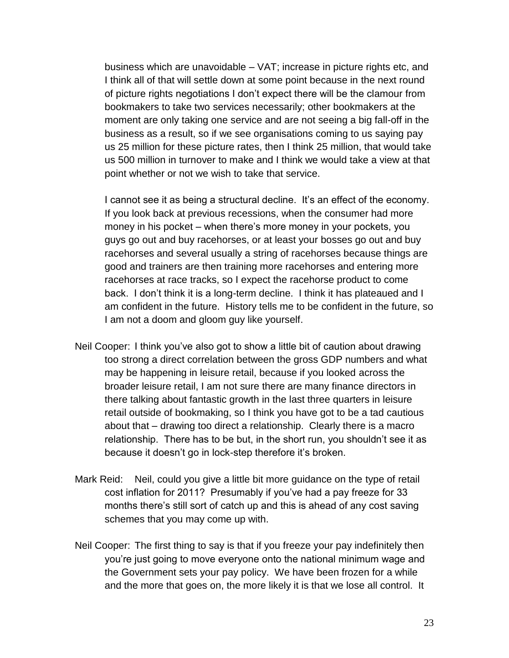business which are unavoidable – VAT; increase in picture rights etc, and I think all of that will settle down at some point because in the next round of picture rights negotiations I don"t expect there will be the clamour from bookmakers to take two services necessarily; other bookmakers at the moment are only taking one service and are not seeing a big fall-off in the business as a result, so if we see organisations coming to us saying pay us 25 million for these picture rates, then I think 25 million, that would take us 500 million in turnover to make and I think we would take a view at that point whether or not we wish to take that service.

I cannot see it as being a structural decline. It's an effect of the economy. If you look back at previous recessions, when the consumer had more money in his pocket – when there"s more money in your pockets, you guys go out and buy racehorses, or at least your bosses go out and buy racehorses and several usually a string of racehorses because things are good and trainers are then training more racehorses and entering more racehorses at race tracks, so I expect the racehorse product to come back. I don"t think it is a long-term decline. I think it has plateaued and I am confident in the future. History tells me to be confident in the future, so I am not a doom and gloom guy like yourself.

- Neil Cooper: I think you"ve also got to show a little bit of caution about drawing too strong a direct correlation between the gross GDP numbers and what may be happening in leisure retail, because if you looked across the broader leisure retail, I am not sure there are many finance directors in there talking about fantastic growth in the last three quarters in leisure retail outside of bookmaking, so I think you have got to be a tad cautious about that – drawing too direct a relationship. Clearly there is a macro relationship. There has to be but, in the short run, you shouldn"t see it as because it doesn"t go in lock-step therefore it"s broken.
- Mark Reid: Neil, could you give a little bit more guidance on the type of retail cost inflation for 2011? Presumably if you"ve had a pay freeze for 33 months there"s still sort of catch up and this is ahead of any cost saving schemes that you may come up with.
- Neil Cooper: The first thing to say is that if you freeze your pay indefinitely then you"re just going to move everyone onto the national minimum wage and the Government sets your pay policy. We have been frozen for a while and the more that goes on, the more likely it is that we lose all control. It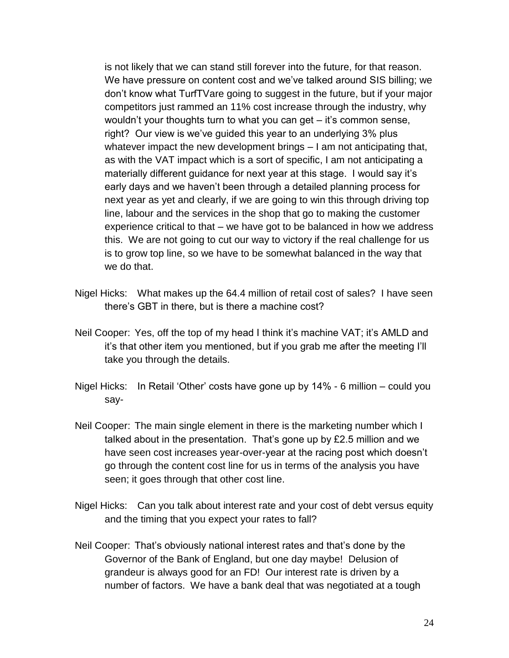is not likely that we can stand still forever into the future, for that reason. We have pressure on content cost and we"ve talked around SIS billing; we don"t know what TurfTVare going to suggest in the future, but if your major competitors just rammed an 11% cost increase through the industry, why wouldn"t your thoughts turn to what you can get – it"s common sense, right? Our view is we"ve guided this year to an underlying 3% plus whatever impact the new development brings – I am not anticipating that, as with the VAT impact which is a sort of specific, I am not anticipating a materially different guidance for next year at this stage. I would say it's early days and we haven"t been through a detailed planning process for next year as yet and clearly, if we are going to win this through driving top line, labour and the services in the shop that go to making the customer experience critical to that – we have got to be balanced in how we address this. We are not going to cut our way to victory if the real challenge for us is to grow top line, so we have to be somewhat balanced in the way that we do that.

- Nigel Hicks: What makes up the 64.4 million of retail cost of sales? I have seen there"s GBT in there, but is there a machine cost?
- Neil Cooper: Yes, off the top of my head I think it's machine VAT; it's AMLD and it"s that other item you mentioned, but if you grab me after the meeting I"ll take you through the details.
- Nigel Hicks: In Retail "Other" costs have gone up by 14% 6 million could you say-
- Neil Cooper: The main single element in there is the marketing number which I talked about in the presentation. That's gone up by £2.5 million and we have seen cost increases year-over-year at the racing post which doesn"t go through the content cost line for us in terms of the analysis you have seen; it goes through that other cost line.
- Nigel Hicks: Can you talk about interest rate and your cost of debt versus equity and the timing that you expect your rates to fall?
- Neil Cooper: That"s obviously national interest rates and that"s done by the Governor of the Bank of England, but one day maybe! Delusion of grandeur is always good for an FD! Our interest rate is driven by a number of factors. We have a bank deal that was negotiated at a tough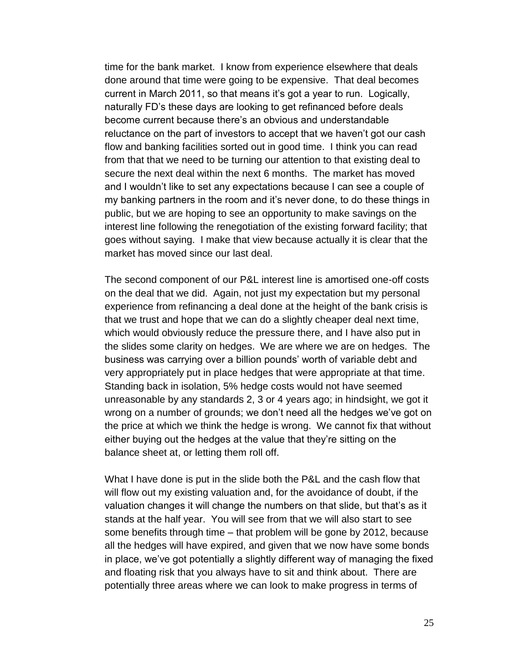time for the bank market. I know from experience elsewhere that deals done around that time were going to be expensive. That deal becomes current in March 2011, so that means it"s got a year to run. Logically, naturally FD"s these days are looking to get refinanced before deals become current because there"s an obvious and understandable reluctance on the part of investors to accept that we haven"t got our cash flow and banking facilities sorted out in good time. I think you can read from that that we need to be turning our attention to that existing deal to secure the next deal within the next 6 months. The market has moved and I wouldn"t like to set any expectations because I can see a couple of my banking partners in the room and it"s never done, to do these things in public, but we are hoping to see an opportunity to make savings on the interest line following the renegotiation of the existing forward facility; that goes without saying. I make that view because actually it is clear that the market has moved since our last deal.

The second component of our P&L interest line is amortised one-off costs on the deal that we did. Again, not just my expectation but my personal experience from refinancing a deal done at the height of the bank crisis is that we trust and hope that we can do a slightly cheaper deal next time, which would obviously reduce the pressure there, and I have also put in the slides some clarity on hedges. We are where we are on hedges. The business was carrying over a billion pounds" worth of variable debt and very appropriately put in place hedges that were appropriate at that time. Standing back in isolation, 5% hedge costs would not have seemed unreasonable by any standards 2, 3 or 4 years ago; in hindsight, we got it wrong on a number of grounds; we don"t need all the hedges we"ve got on the price at which we think the hedge is wrong. We cannot fix that without either buying out the hedges at the value that they"re sitting on the balance sheet at, or letting them roll off.

What I have done is put in the slide both the P&L and the cash flow that will flow out my existing valuation and, for the avoidance of doubt, if the valuation changes it will change the numbers on that slide, but that"s as it stands at the half year. You will see from that we will also start to see some benefits through time – that problem will be gone by 2012, because all the hedges will have expired, and given that we now have some bonds in place, we"ve got potentially a slightly different way of managing the fixed and floating risk that you always have to sit and think about. There are potentially three areas where we can look to make progress in terms of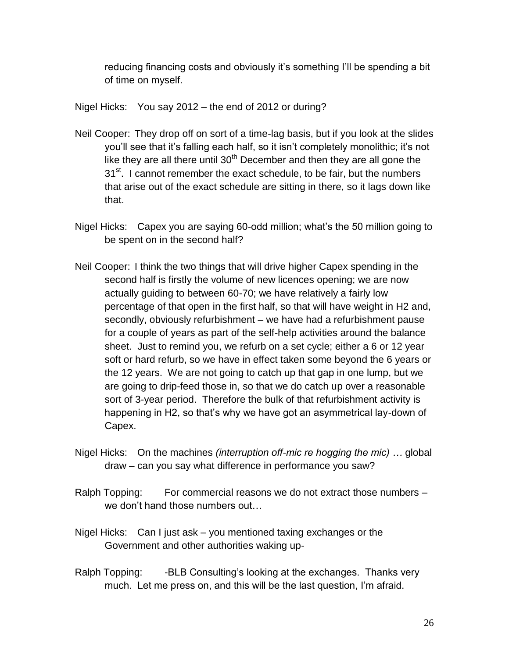reducing financing costs and obviously it's something I'll be spending a bit of time on myself.

Nigel Hicks: You say 2012 – the end of 2012 or during?

- Neil Cooper: They drop off on sort of a time-lag basis, but if you look at the slides you"ll see that it"s falling each half, so it isn"t completely monolithic; it"s not like they are all there until  $30<sup>th</sup>$  December and then they are all gone the 31<sup>st</sup>. I cannot remember the exact schedule, to be fair, but the numbers that arise out of the exact schedule are sitting in there, so it lags down like that.
- Nigel Hicks: Capex you are saying 60-odd million; what's the 50 million going to be spent on in the second half?
- Neil Cooper: I think the two things that will drive higher Capex spending in the second half is firstly the volume of new licences opening; we are now actually guiding to between 60-70; we have relatively a fairly low percentage of that open in the first half, so that will have weight in H2 and, secondly, obviously refurbishment – we have had a refurbishment pause for a couple of years as part of the self-help activities around the balance sheet. Just to remind you, we refurb on a set cycle; either a 6 or 12 year soft or hard refurb, so we have in effect taken some beyond the 6 years or the 12 years. We are not going to catch up that gap in one lump, but we are going to drip-feed those in, so that we do catch up over a reasonable sort of 3-year period. Therefore the bulk of that refurbishment activity is happening in H2, so that's why we have got an asymmetrical lay-down of Capex.
- Nigel Hicks: On the machines *(interruption off-mic re hogging the mic) …* global draw – can you say what difference in performance you saw?
- Ralph Topping: For commercial reasons we do not extract those numbers we don"t hand those numbers out…
- Nigel Hicks: Can I just ask you mentioned taxing exchanges or the Government and other authorities waking up-
- Ralph Topping: -BLB Consulting's looking at the exchanges. Thanks very much. Let me press on, and this will be the last question, I"m afraid.